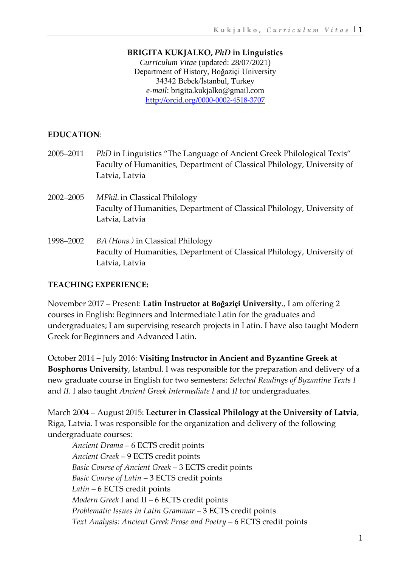#### **BRIGITA KUKJALKO,** *PhD* **in Linguistics**

*Curriculum Vitae* (updated: 28/07/2021) Department of History, Boğaziçi University 34342 Bebek/İstanbul, Turkey *e-mail*: [brigita.kukjalko@gmail.com](mailto:brigita.kukjalko@gmail.com) <http://orcid.org/0000-0002-4518-3707>

#### **EDUCATION**:

- 2005–2011 *PhD* in Linguistics "The Language of Ancient Greek Philological Texts" Faculty of Humanities, Department of Classical Philology, University of Latvia, Latvia
- 2002–2005 *MPhil.*in Classical Philology Faculty of Humanities, Department of Classical Philology, University of Latvia, Latvia
- 1998–2002 *BA (Hons.)* in Classical Philology Faculty of Humanities, Department of Classical Philology, University of Latvia, Latvia

# **TEACHING EXPERIENCE:**

November 2017 – Present: **Latin Instructor at Boğaziçi University**., I am offering 2 courses in English: Beginners and Intermediate Latin for the graduates and undergraduates; I am supervising research projects in Latin. I have also taught Modern Greek for Beginners and Advanced Latin.

October 2014 – July 2016: **Visiting Instructor in Ancient and Byzantine Greek at Bosphorus University**, Istanbul. I was responsible for the preparation and delivery of a new graduate course in English for two semesters: *Selected Readings of Byzantine Texts I*  and *II*. I also taught *Ancient Greek Intermediate I* and *II* for undergraduates.

March 2004 – August 2015: **Lecturer in Classical Philology at the University of Latvia**, Riga, Latvia. I was responsible for the organization and delivery of the following undergraduate courses:

*Ancient Drama* – 6 ECTS credit points *Ancient Greek* – 9 ECTS credit points *Basic Course of Ancient Greek –* 3 ECTS credit points *Basic Course of Latin* – 3 ECTS credit points *Latin –* 6 ECTS credit points *Modern Greek* I and II *–* 6 ECTS credit points *Problematic Issues in Latin Grammar –* 3 ECTS credit points Text Analysis: Ancient Greek Prose and Poetry - 6 ECTS credit points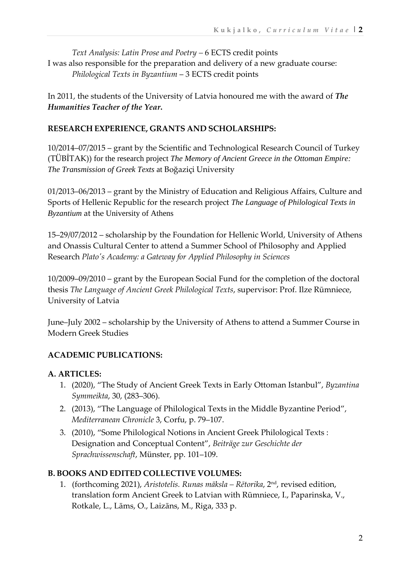*Text Analysis: Latin Prose and Poetry –* 6 ECTS credit points I was also responsible for the preparation and delivery of a new graduate course: *Philological Texts in Byzantium* – 3 ECTS credit points

In 2011, the students of the University of Latvia honoured me with the award of *The Humanities Teacher of the Year***.**

#### **RESEARCH EXPERIENCE, GRANTS AND SCHOLARSHIPS:**

10/2014–07/2015 – grant by the Scientific and Technological Research Council of Turkey (TÜBİTAK)) for the research project *The Memory of Ancient Greece in the Ottoman Empire: The Transmission of Greek Texts* at Boğaziçi University

01/2013–06/2013 – grant by the Ministry of Education and Religious Affairs, Culture and Sports of Hellenic Republic for the research project *The Language of Philological Texts in Byzantium* at the University of Athens

15–29/07/2012 – scholarship by the Foundation for Hellenic World, University of Athens and Onassis Cultural Center to attend a Summer School of Philosophy and Applied Research *Plato's Academy: a Gateway for Applied Philosophy in Sciences*

10/2009–09/2010 – grant by the European Social Fund for the completion of the doctoral thesis *The Language of Ancient Greek Philological Texts*, supervisor: Prof. Ilze Rūmniece, University of Latvia

June–July 2002 – scholarship by the University of Athens to attend a Summer Course in Modern Greek Studies

# **ACADEMIC PUBLICATIONS:**

# **A. ARTICLES:**

- 1. (2020), "The Study of Ancient Greek Texts in Early Ottoman Istanbul", *Byzantina Symmeikta*, 30, (283–306).
- 2. (2013), "The Language of Philological Texts in the Middle Byzantine Period", *Mediterranean Chronicle* 3, Corfu, p. 79–107.
- 3. (2010), "Some Philological Notions in Ancient Greek Philological Texts : Designation and Conceptual Content", *Beiträge zur Geschichte der Sprachwissenschaft*, Münster, pp. 101–109.

# **B. BOOKS AND EDITED COLLECTIVE VOLUMES:**

1. (forthcoming 2021), *Aristotelis. Runas māksla – Rētorika*, 2 nd, revised edition, translation form Ancient Greek to Latvian with Rūmniece, I., Paparinska, V., Rotkale, L., Lāms, O., Laizāns, M., Riga, 333 p.